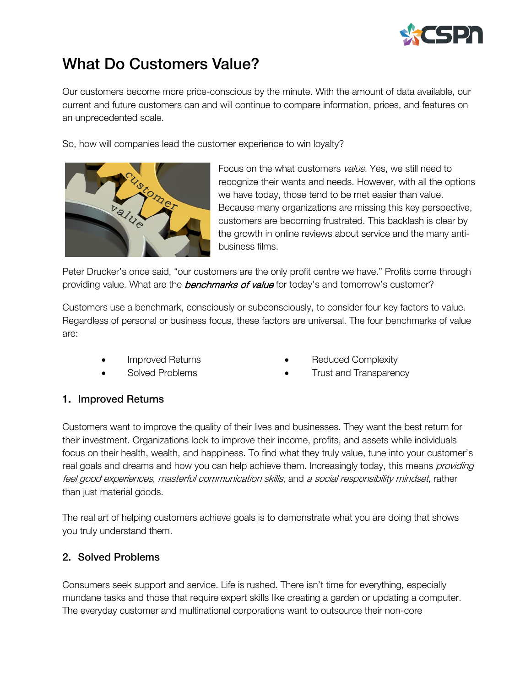

# What Do Customers Value?

Our customers become more price-conscious by the minute. With the amount of data available, our current and future customers can and will continue to compare information, prices, and features on an unprecedented scale.

So, how will companies lead the customer experience to win loyalty?



Focus on the what customers *value*. Yes, we still need to recognize their wants and needs. However, with all the options we have today, those tend to be met easier than value. Because many organizations are missing this key perspective, customers are becoming frustrated. This backlash is clear by the growth in online reviews about service and the many antibusiness films.

Peter Drucker's once said, "our customers are the only profit centre we have." Profits come through providing value. What are the **benchmarks of value** for today's and tomorrow's customer?

Customers use a benchmark, consciously or subconsciously, to consider four key factors to value. Regardless of personal or business focus, these factors are universal. The four benchmarks of value are:

- Improved Returns
- Solved Problems
- Reduced Complexity
- Trust and Transparency

#### 1. Improved Returns

Customers want to improve the quality of their lives and businesses. They want the best return for their investment. Organizations look to improve their income, profits, and assets while individuals focus on their health, wealth, and happiness. To find what they truly value, tune into your customer's real goals and dreams and how you can help achieve them. Increasingly today, this means *providing* feel good experiences, masterful communication skills, and a social responsibility mindset, rather than just material goods.

The real art of helping customers achieve goals is to demonstrate what you are doing that shows you truly understand them.

### 2. Solved Problems

Consumers seek support and service. Life is rushed. There isn't time for everything, especially mundane tasks and those that require expert skills like creating a garden or updating a computer. The everyday customer and multinational corporations want to outsource their non-core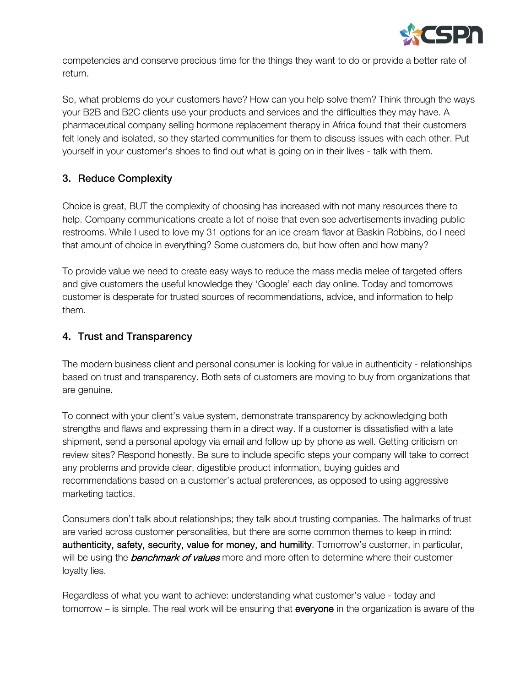

competencies and conserve precious time for the things they want to do or provide a better rate of return.

So, what problems do your customers have? How can you help solve them? Think through the ways your B2B and B2C clients use your products and services and the difficulties they may have. A pharmaceutical company selling hormone replacement therapy in Africa found that their customers felt lonely and isolated, so they started communities for them to discuss issues with each other. Put yourself in your customer's shoes to find out what is going on in their lives - talk with them.

## 3. Reduce Complexity

Choice is great, BUT the complexity of choosing has increased with not many resources there to help. Company communications create a lot of noise that even see advertisements invading public restrooms. While I used to love my 31 options for an ice cream flavor at Baskin Robbins, do I need that amount of choice in everything? Some customers do, but how often and how many?

To provide value we need to create easy ways to reduce the mass media melee of targeted offers and give customers the useful knowledge they 'Google' each day online. Today and tomorrows customer is desperate for trusted sources of recommendations, advice, and information to help them.

### 4. Trust and Transparency

The modern business client and personal consumer is looking for value in authenticity - relationships based on trust and transparency. Both sets of customers are moving to buy from organizations that are genuine.

To connect with your client's value system, demonstrate transparency by acknowledging both strengths and flaws and expressing them in a direct way. If a customer is dissatisfied with a late shipment, send a personal apology via email and follow up by phone as well. Getting criticism on review sites? Respond honestly. Be sure to include specific steps your company will take to correct any problems and provide clear, digestible product information, buying guides and recommendations based on a customer's actual preferences, as opposed to using aggressive marketing tactics.

Consumers don't talk about relationships; they talk about trusting companies. The hallmarks of trust are varied across customer personalities, but there are some common themes to keep in mind: authenticity, safety, security, value for money, and humility. Tomorrow's customer, in particular, will be using the **benchmark of values** more and more often to determine where their customer loyalty lies.

Regardless of what you want to achieve: understanding what customer's value - today and tomorrow – is simple. The real work will be ensuring that everyone in the organization is aware of the